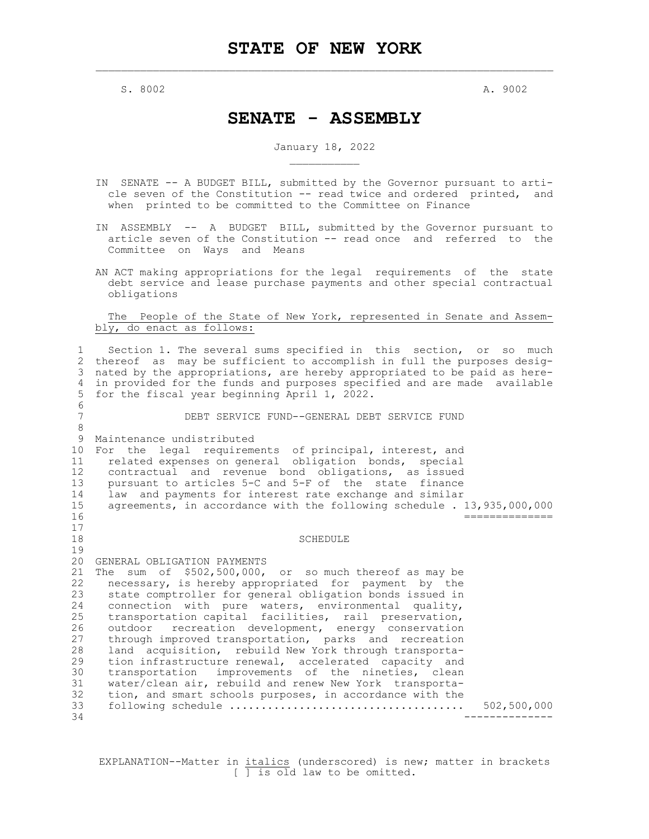$S. 8002$  and  $A. 9002$ 

## **SENATE - ASSEMBLY**

## January 18, 2022  $\overline{\phantom{a}}$  , we can also the contract of  $\overline{\phantom{a}}$

- IN SENATE -- A BUDGET BILL, submitted by the Governor pursuant to arti cle seven of the Constitution -- read twice and ordered printed, and when printed to be committed to the Committee on Finance
- IN ASSEMBLY -- A BUDGET BILL, submitted by the Governor pursuant to article seven of the Constitution -- read once and referred to the Committee on Ways and Means
- AN ACT making appropriations for the legal requirements of the state debt service and lease purchase payments and other special contractual obligations

 The People of the State of New York, represented in Senate and Assembly, do enact as follows:

1 Section 1. The several sums specified in this section, or so much 2 thereof as may be sufficient to accomplish in full the purposes desig-3 nated by the appropriations, are hereby appropriated to be paid as here-4 in provided for the funds and purposes specified and are made available 5 for the fiscal year beginning April 1, 2022. 6 7 DEBT SERVICE FUND--GENERAL DEBT SERVICE FUND 8 9 Maintenance undistributed 10 For the legal requirements of principal, interest, and 11 related expenses on general obligation bonds, special 12 contractual and revenue bond obligations, as issued 13 pursuant to articles 5-C and 5-F of the state finance<br>14 law and payments for interest rate exchange and similar 14 law and payments for interest rate exchange and similar<br>15 agreements, in accordance with the following schedule. agreements, in accordance with the following schedule . 13,935,000,000 16 ==============  $\begin{array}{c} 17 \\ 18 \end{array}$ **SCHEDULE** 19 20 GENERAL OBLIGATION PAYMENTS 21 The sum of \$502,500,000, or so much thereof as may be 22 necessary, is hereby appropriated for payment by the<br>23 state comptroller for general obligation bonds issued in 23 state comptroller for general obligation bonds issued in<br>24 connection with pure waters, environmental quality, 24 connection with pure waters, environmental quality, 25 transportation capital facilities, rail preservation, 26 outdoor recreation development, energy conservation<br>27 through improved transportation, parks and recreation through improved transportation, parks and recreation 28 land acquisition, rebuild New York through transporta-<br>29 tion infrastructure renewal, accelerated capacity and 29 tion infrastructure renewal, accelerated capacity and<br>30 transportation improvements of the nineties, clean 30 transportation improvements of the nineties, clean<br>31 water/clean air, rebuild and renew New York transporta-31 water/clean air, rebuild and renew New York transporta-<br>32 tion, and smart schools purposes, in accordance with the 32 tion, and smart schools purposes, in accordance with the 33 following schedule ..................................... 502,500,000 34 --------------

EXPLANATION--Matter in italics (underscored) is new; matter in brackets  $\sqrt{ }$  is old law to be omitted.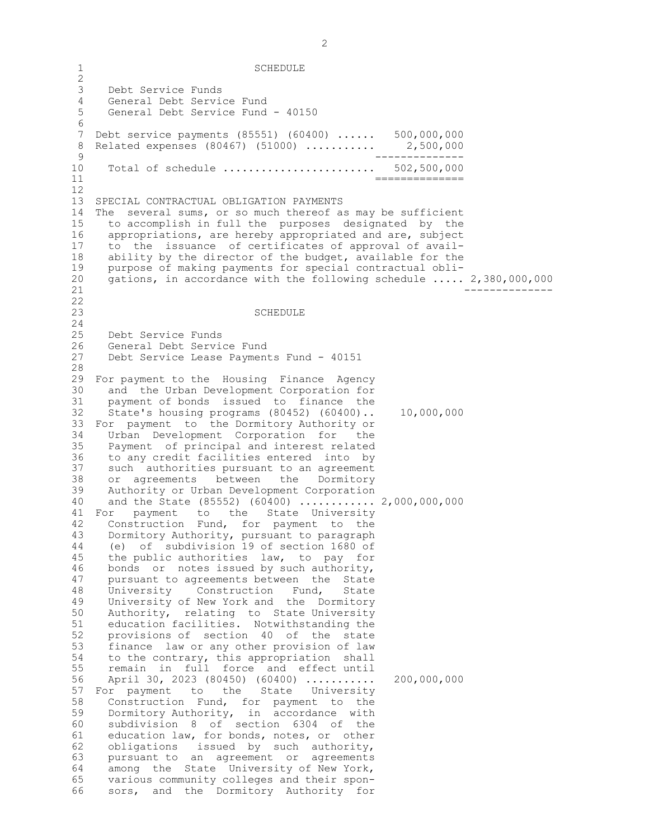1 SCHEDULE  $\frac{2}{3}$ Debt Service Funds 4 General Debt Service Fund 5 General Debt Service Fund - 40150 6<br>7 Debt service payments (85551) (60400) ...... 500,000,000 8 Related expenses (80467) (51000) ............ 2,500,000<br>9 ـــــــــــــــــ<br>10 Total of schedule ........................ 502,500,000 Total of schedule ......................... 11 ============== 12 13 SPECIAL CONTRACTUAL OBLIGATION PAYMENTS 14 The several sums, or so much thereof as may be sufficient 15 to accomplish in full the purposes designated by the 16 appropriations, are hereby appropriated and are, subject 17 to the issuance of certificates of approval of avail-18 ability by the director of the budget, available for the 19 purpose of making payments for special contractual obli-20 gations, in accordance with the following schedule ..... 2,380,000,000 21 -------------- 22 23 SCHEDULE 24 25 Debt Service Funds 26 General Debt Service Fund<br>27 Debt Service Lease Paymen Debt Service Lease Payments Fund - 40151 28 29 For payment to the Housing Finance Agency 30 and the Urban Development Corporation for<br>31 payment of bonds issued to finance the 31 payment of bonds issued to finance the<br>32 State's housing programs (80452) (60400).. 32 State's housing programs (80452) (60400).. 10,000,000 33 For payment to the Dormitory Authority or 34 Urban Development Corporation for the 35 Payment of principal and interest related 36 to any credit facilities entered into by<br>37 such authorities pursuant to an agreement 37 such authorities pursuant to an agreement<br>38 or agreements between the Dormitory 38 or agreements between the Dormitory<br>39 Authority or Urban-Development-Corporation Authority or Urban Development Corporation 40 and the State (85552) (60400) ............ 2,000,000,000 41 For payment to the State University<br>42 Construction Fund, for payment to the 42 Construction Fund, for payment to the<br>43 Dormitory Authority, pursuant to paragraph Dormitory Authority, pursuant to paragraph 44 (e) of subdivision 19 of section 1680 of 45 the public authorities law, to pay for 46 bonds or notes issued by such authority, 47 pursuant to agreements between the State 48 University Construction Fund, State 49 University of New York and the Dormitory 50 Authority, relating to State University 51 education facilities. Notwithstanding the 52 provisions of section 40 of the state 53 finance law or any other provision of law 54 to the contrary, this appropriation shall 55 remain in full force and effect until 56 April 30, 2023 (80450) (60400) ........... 200,000,000 57 For payment to the State University 58 Construction Fund, for payment to the 59 Dormitory Authority, in accordance with 60 subdivision 8 of section 6304 of the 61 education law, for bonds, notes, or other 62 obligations issued by such authority, 63 pursuant to an agreement or agreements 64 among the State University of New York, 65 various community colleges and their spon-66 sors, and the Dormitory Authority for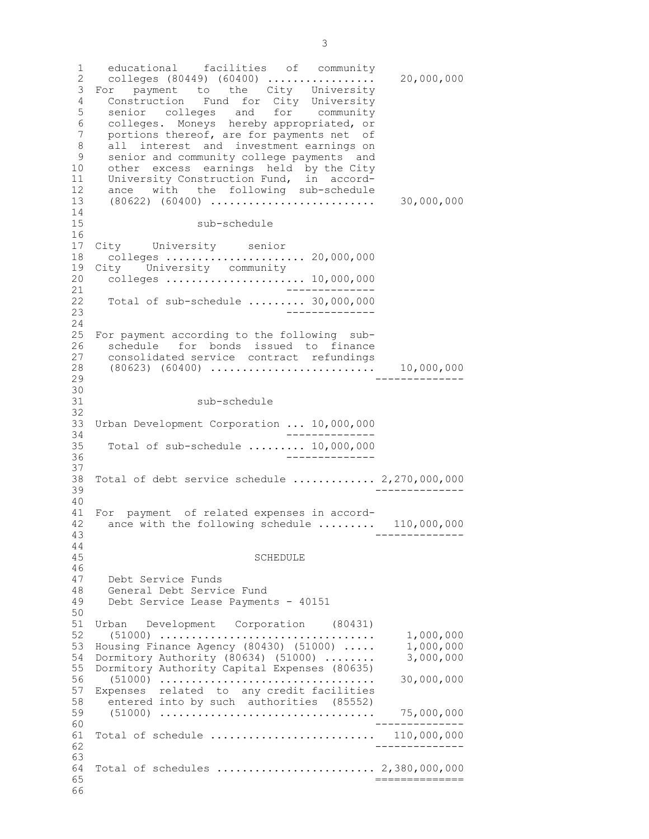1 educational facilities of community 2 colleges (80449) (60400) ................. 20,000,000 3 For payment to the City University 4 Construction Fund for City University 5 senior colleges and for community 6 colleges. Moneys hereby appropriated, or 7 portions thereof, are for payments net of 8 all interest and investment earnings on<br>9 senior and community college payments and 9 senior and community college payments and<br>10 other excess earnings held by the City 10 other excess earnings held by the City 11 University Construction Fund, in accord-12 ance with the following sub-schedule 13 (80622) (60400) .......................... 30,000,000 14 15 sub-schedule 16<br>17 City University senior 18 colleges ...................... 20,000,000 19 City University community 20 colleges ...................... 10,000,000 21 -------------- 22 Total of sub-schedule ......... 30,000,000 23 -------------- 24 25 For payment according to the following sub-26 schedule for bonds issued to finance<br>27 consolidated\_service contract refundings 27 consolidated service contract refundings<br>28 (80623) (60400) ............................ 28 (80623) (60400) .......................... 10,000,000 29 --------------  $\frac{30}{31}$ sub-schedule 32 33 Urban Development Corporation ... 10,000,000 34 -------------- 35 Total of sub-schedule ......... 10,000,000 36 -------------- 37 38 Total of debt service schedule ............. 2,270,000,000 39 -------------- 40 41 For payment of related expenses in accord-<br>42 ance with the following schedule ........ 42 ance with the following schedule ......... 110,000,000<br>43 43 -------------- 44 45 SCHEDULE 46 47 Debt Service Funds 48 General Debt Service Fund 49 Debt Service Lease Payments - 40151 50 51 Urban Development Corporation (80431) 52 (51000) .................................. 1,000,000 53 Housing Finance Agency (80430) (51000) ..... 1,000,000 54 Dormitory Authority (80634) (51000) ........ 55 Dormitory Authority Capital Expenses (80635) 56 (51000) .................................. 30,000,000 57 Expenses related to any credit facilities 58 entered into by such authorities (85552) 59 (51000) .................................. 75,000,000 60 -------------- 61 Total of schedule .......................... 110,000,000 62 -------------- 63 64 Total of schedules ......................... 2,380,000,000  $65$   $\overline{\phantom{0}}$ 66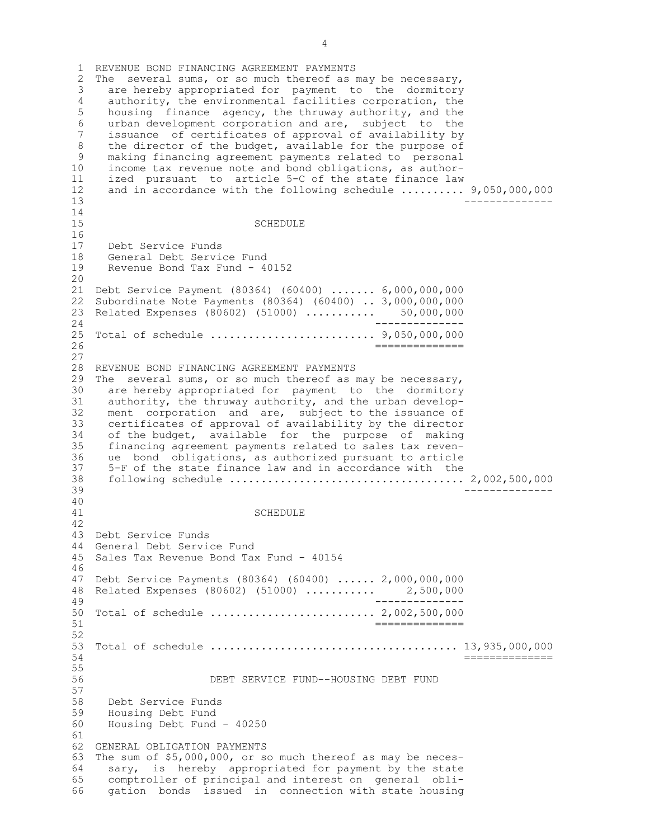1 REVENUE BOND FINANCING AGREEMENT PAYMENTS 2 The several sums, or so much thereof as may be necessary, 3 are hereby appropriated for payment to the dormitory 4 authority, the environmental facilities corporation, the 5 housing finance agency, the thruway authority, and the 6 urban development corporation and are, subject to the issuance of certificates of approval of availability by 8 the director of the budget, available for the purpose of<br>9 making financing agreement payments related to personal 9 making financing agreement payments related to personal<br>10 income tax revenue note and bond obligations, as authorincome tax revenue note and bond obligations, as author-11 ized pursuant to article 5-C of the state finance law 12 and in accordance with the following schedule .......... 9,050,000,000 13 -------------- 14 15 SCHEDULE 16 17 Debt Service Funds 18 General Debt Service Fund 19 Revenue Bond Tax Fund - 40152 20 21 Debt Service Payment (80364) (60400) ....... 6,000,000,000 22 Subordinate Note Payments (80364) (60400) .. 3,000,000,000 23 Related Expenses (80602) (51000) ........... 50,000,000 24 -------------- 25 Total of schedule .......................... 9,050,000,000  $26$   $-$ 27 28 REVENUE BOND FINANCING AGREEMENT PAYMENTS 29 The several sums, or so much thereof as may be necessary, 30 are hereby appropriated for payment to the dormitory 31 authority, the thruway authority, and the urban develop-<br>32 ment corporation and are, subject to the issuance of ment corporation and are, subject to the issuance of 33 certificates of approval of availability by the director 34 of the budget, available for the purpose of making 35 financing agreement payments related to sales tax reven-36 ue bond obligations, as authorized pursuant to article<br>37 5-F of the state finance law and in accordance with the 5-F of the state finance law and in accordance with the 38 following schedule ..................................... 2,002,500,000 39 -------------- 40 **SCHEDULE** 42 43 Debt Service Funds 44 General Debt Service Fund 45 Sales Tax Revenue Bond Tax Fund - 40154 46 47 Debt Service Payments (80364) (60400) ...... 2,000,000,000 48 Related Expenses (80602) (51000) ........... 2,500,000 49 -------------- 50 Total of schedule .......................... 2,002,500,000 51 ============== 52 53 Total of schedule ....................................... 13,935,000,000 54 ============== 55 56 DEBT SERVICE FUND--HOUSING DEBT FUND 57 58 Debt Service Funds 59 Housing Debt Fund 60 Housing Debt Fund - 40250 61 62 GENERAL OBLIGATION PAYMENTS 63 The sum of \$5,000,000, or so much thereof as may be neces-64 sary, is hereby appropriated for payment by the state 65 comptroller of principal and interest on general obli-66 gation bonds issued in connection with state housing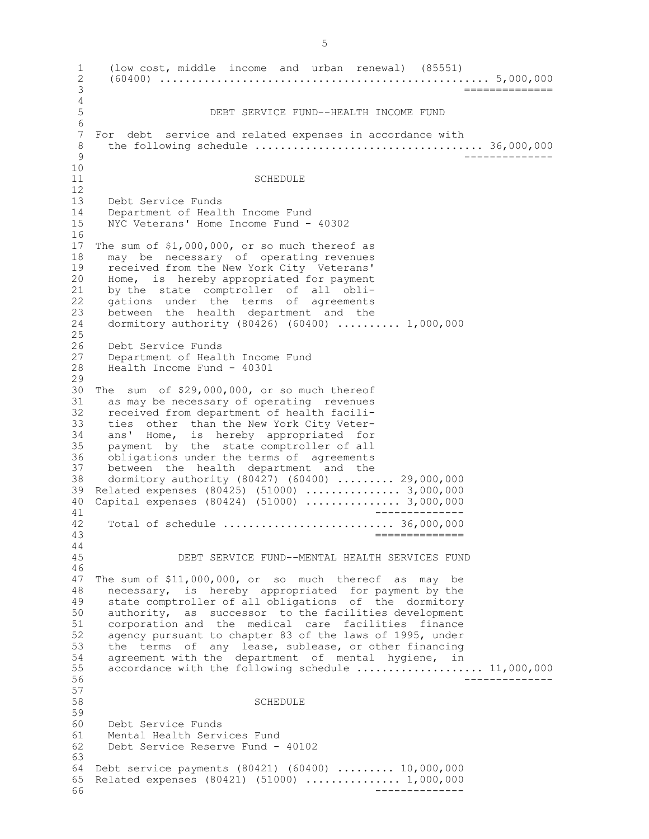1 (low cost, middle income and urban renewal) (85551) 2 (60400) .................................................... 5,000,000  $=$ =============  $\frac{4}{5}$ 5 DEBT SERVICE FUND--HEALTH INCOME FUND 6 For debt service and related expenses in accordance with 8 the following schedule .................................... 36,000,000 9 -------------- 10 11 SCHEDULE 12 13 Debt Service Funds 14 Department of Health Income Fund 15 NYC Veterans' Home Income Fund - 40302 16 17 The sum of \$1,000,000, or so much thereof as 18 may be necessary of operating revenues 19 received from the New York City Veterans' 20 Home, is hereby appropriated for payment 21 by the state comptroller of all obli-22 gations under the terms of agreements 23 between the health department and the 24 dormitory authority (80426) (60400) .......... 1,000,000  $\frac{25}{26}$ 26 Debt Service Funds<br>27 Department of Heal 27 Department of Health Income Fund<br>28 Health Income Fund - 40301 Health Income Fund - 40301 29 30 The sum of  $$29,000,000$ , or so much thereof 31 as may be necessary of operating revenues 31 as may be necessary of operating revenues<br>32 received from department of health facilireceived from department of health facili-33 ties other than the New York City Veter-34 ans' Home, is hereby appropriated for 35 payment by the state comptroller of all 36 obligations under the terms of agreements<br>37 between the health department and the 37 between the health department and the<br>38 dormitory authority (80427) (60400) ...... dormitory authority (80427) (60400) ......... 29,000,000 39 Related expenses (80425) (51000) ............... 3,000,000 40 Capital expenses (80424) (51000) ............... 3,000,000 41 -------------- 42 Total of schedule ........................... 36,000,000  $=$ ============== 44 45 DEBT SERVICE FUND--MENTAL HEALTH SERVICES FUND 46 47 The sum of \$11,000,000, or so much thereof as may be 48 necessary, is hereby appropriated for payment by the 49 state comptroller of all obligations of the dormitory 50 authority, as successor to the facilities development 51 corporation and the medical care facilities finance 52 agency pursuant to chapter 83 of the laws of 1995, under<br>53 the terms of any lease, sublease, or other financing 53 the terms of any lease, sublease, or other financing<br>54 agreement with the department of mental hygiene, in agreement with the department of mental hygiene, in 55 accordance with the following schedule ..................... 11,000,000 56 -------------- 57 58 SCHEDULE 59 60 Debt Service Funds 61 Mental Health Services Fund 62 Debt Service Reserve Fund - 40102 63 64 Debt service payments (80421) (60400) ......... 10,000,000 65 Related expenses (80421) (51000) ............... 1,000,000 66 --------------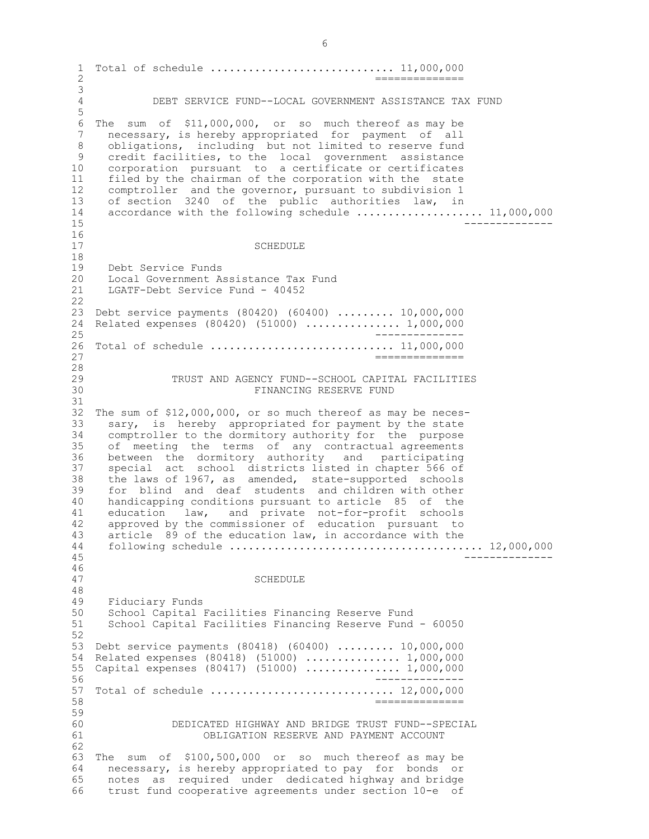1 Total of schedule ............................. 11,000,000  $\overline{2}$   $\overline{2}$ 3 4 DEBT SERVICE FUND--LOCAL GOVERNMENT ASSISTANCE TAX FUND 5 6 The sum of \$11,000,000, or so much thereof as may be<br>7 necessary, is hereby appropriated for payment of all necessary, is hereby appropriated for payment of all 8 obligations, including but not limited to reserve fund<br>9 credit facilities, to the local government assistance 9 credit facilities, to the local government assistance 10 corporation pursuant to a certificate or certificates 11 filed by the chairman of the corporation with the state 12 comptroller and the governor, pursuant to subdivision 1 13 of section 3240 of the public authorities law, in 14 accordance with the following schedule ..................... 11,000,000 15 -------------- 16<br>17 **SCHEDULE** 18 19 Debt Service Funds 20 Local Government Assistance Tax Fund 21 LGATF-Debt Service Fund - 40452 22 23 Debt service payments (80420) (60400) ......... 10,000,000 24 Related expenses (80420) (51000) ............... 1,000,000 25 -------------- 26 Total of schedule ............................. 11,000,000 27 ==============  $\frac{28}{29}$ 29 TRUST AND AGENCY FUND--SCHOOL CAPITAL FACILITIES<br>30 FINANCING RESERVE FUND 30 FINANCING RESERVE FUND 31 32 The sum of \$12,000,000, or so much thereof as may be neces-33 sary, is hereby appropriated for payment by the state 34 comptroller to the dormitory authority for the purpose 35 of meeting the terms of any contractual agreements 36 between the dormitory authority and participating<br>37 special act school districts listed in chapter 566 of special act school districts listed in chapter 566 of 38 the laws of 1967, as amended, state-supported schools 39 for blind and deaf students and children with other 40 handicapping conditions pursuant to article 85 of the 41 education law, and private not-for-profit schools<br>42 approved by the commissioner of education pursuant to 42 approved by the commissioner of education pursuant to<br>43 article 89 of the education law, in accordance with the article 89 of the education law, in accordance with the 44 following schedule ........................................ 12,000,000 45 -------------- 46<br>47 **SCHEDULE** 48 49 Fiduciary Funds 50 School Capital Facilities Financing Reserve Fund 51 School Capital Facilities Financing Reserve Fund - 60050 52 53 Debt service payments (80418) (60400) ......... 10,000,000 54 Related expenses (80418) (51000) ............... 1,000,000 55 Capital expenses (80417) (51000) ............... 1,000,000 56 -------------- 57 Total of schedule ............................. 12,000,000 58 ============== 59 60 DEDICATED HIGHWAY AND BRIDGE TRUST FUND--SPECIAL 61 OBLIGATION RESERVE AND PAYMENT ACCOUNT 62 63 The sum of \$100,500,000 or so much thereof as may be 64 necessary, is hereby appropriated to pay for bonds or 65 notes as required under dedicated highway and bridge 66 trust fund cooperative agreements under section 10-e of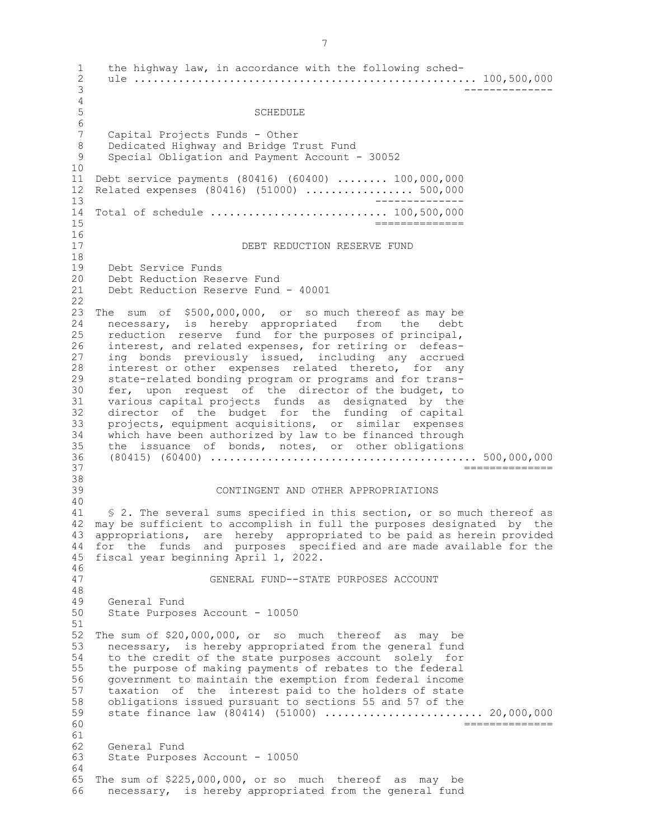1 the highway law, in accordance with the following sched-2 ule ...................................................... 100,500,000 3 --------------  $\frac{4}{5}$ **SCHEDULE** 6 7 Capital Projects Funds - Other 8 Dedicated Highway and Bridge Trust Fund<br>9 Special Obligation and Payment Account -Special Obligation and Payment Account - 30052 10 11 Debt service payments (80416) (60400) ........ 100,000,000 12 Related expenses (80416) (51000) ................. 500,000 13 -------------- 14 Total of schedule ............................ 100,500,000  $15$   $\overline{\phantom{a}}$   $\overline{\phantom{a}}$   $\overline{\phantom{a}}$   $\overline{\phantom{a}}$   $\overline{\phantom{a}}$   $\overline{\phantom{a}}$   $\overline{\phantom{a}}$   $\overline{\phantom{a}}$   $\overline{\phantom{a}}$   $\overline{\phantom{a}}$   $\overline{\phantom{a}}$   $\overline{\phantom{a}}$   $\overline{\phantom{a}}$   $\overline{\phantom{a}}$   $\overline{\phantom{a}}$   $\overline{\phantom{a}}$   $\overline{\phantom{a}}$   $\overline{\phantom{a}}$  16<br>17 DEBT REDUCTION RESERVE FUND 18 19 Debt Service Funds 20 Debt Reduction Reserve Fund 21 Debt Reduction Reserve Fund - 40001 22 23 The sum of \$500,000,000, or so much thereof as may be 24 necessary, is hereby appropriated from the debt 25 reduction reserve fund for the purposes of principal, 26 interest, and related expenses, for retiring or defeas-27 ing bonds previously issued, including any accrued 28 interest or other expenses related thereto, for any<br>29 state-related bonding program or programs and for trans-29 state-related bonding program or programs and for trans-<br>30 fer, upon request of the director of the budget, to 30 fer, upon request of the director of the budget, to various capital projects funds as designated by the 31 various capital projects funds as designated by the<br>32 director of the budget for the funding of capital director of the budget for the funding of capital 33 projects, equipment acquisitions, or similar expenses 34 which have been authorized by law to be financed through<br>35 the issuance of bonds, notes, or other obligations 35 the issuance of bonds, notes, or other obligations 36 (80415) (60400) .......................................... 500,000,000  $=$ ============== 38<br>39 CONTINGENT AND OTHER APPROPRIATIONS 40 41 § 2. The several sums specified in this section, or so much thereof as 42 may be sufficient to accomplish in full the purposes designated by the 43 appropriations, are hereby appropriated to be paid as herein provided 44 for the funds and purposes specified and are made available for the 45 fiscal year beginning April 1, 2022. 46<br>47 47 GENERAL FUND--STATE PURPOSES ACCOUNT 48 General Fund 50 State Purposes Account - 10050 51 52 The sum of \$20,000,000, or so much thereof as may be 53 necessary, is hereby appropriated from the general fund<br>54 to the credit of the state purposes account solely for to the credit of the state purposes account solely for 55 the purpose of making payments of rebates to the federal 56 government to maintain the exemption from federal income 57 taxation of the interest paid to the holders of state 58 obligations issued pursuant to sections 55 and 57 of the 59 state finance law (80414) (51000) ............................ 20,000,000 60 ============== 61 62 General Fund 63 State Purposes Account - 10050 64 65 The sum of \$225,000,000, or so much thereof as may be 66 necessary, is hereby appropriated from the general fund